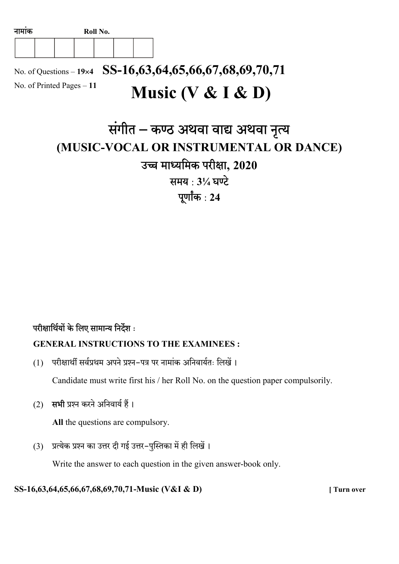

No. of Questions – 19×4 SS-16,63,64,65,66,67,68,69,70,71 No. of Printed Pages – 11 Music (V & I & D)

# संगीत – कण्ठ अथवा वाद्य अथवा नृत्य (MUSIC-VOCAL OR INSTRUMENTAL OR DANCE) उच्च माध्यमिक परीक्षा, 2020 समय: 31/4 घण्टे पूर्णांक $: 24$

## परीक्षार्थियों के लिए सामान्य निर्देश:

#### GENERAL INSTRUCTIONS TO THE EXAMINEES :

(1) परीक्षार्थी सर्वप्रथम अपने प्रश्न-पत्र पर नामांक अनिवार्यतः लिखें।

Candidate must write first his / her Roll No. on the question paper compulsorily.

(2) सभी प्रश्न करने अनिवार्य हैं।

All the questions are compulsory.

(3) प्रत्येक प्रश्न का उत्तर दी गई उत्तर-पुस्तिका में ही लिखें।

Write the answer to each question in the given answer-book only.

SS-16,63,64,65,66,67,68,69,70,71-Music (V&I & D) [ Turn over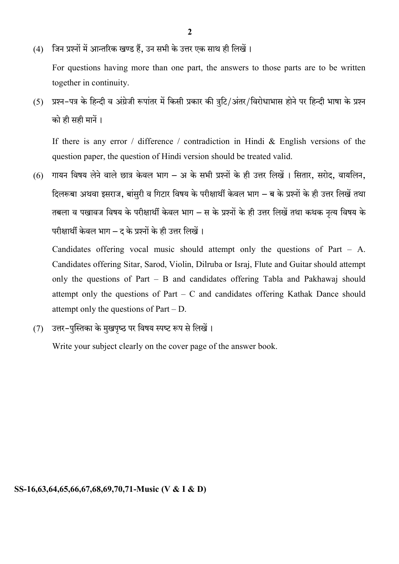(4) जिन प्रश्नों में आन्तरिक खण्ड हैं, उन सभी के उत्तर एक साथ ही लिखें।

For questions having more than one part, the answers to those parts are to be written together in continuity.

(5) प्रश्न-पत्र के हिन्दी व अंग्रेजी रूपांतर में किसी प्रकार की त्रटि/अंतर/विरोधाभास होने पर हिन्दी भाषा के प्रश्न को ही सही मानें।

If there is any error / difference / contradiction in Hindi & English versions of the question paper, the question of Hindi version should be treated valid.

 $(6)$  गायन विषय लेने वाले छात्र केवल भाग – अ के सभी प्रश्नों के ही उत्तर लिखें । सितार, सरोद, वायलिन, दिलरूबा अथवा इसराज. बांसरी व गिटार विषय के परीक्षार्थी केवल भाग – ब के प्रश्नों के ही उत्तर लिखें तथा तबला व पखावज विषय के परीक्षार्थी केवल भाग – स के प्रश्नों के ही उत्तर लिखें तथा कथक नृत्य विषय के परीक्षार्थी केवल भाग – द के प्रश्नों के ही उत्तर लिखें।

Candidates offering vocal music should attempt only the questions of Part – A. Candidates offering Sitar, Sarod, Violin, Dilruba or Israj, Flute and Guitar should attempt only the questions of Part – B and candidates offering Tabla and Pakhawaj should attempt only the questions of Part – C and candidates offering Kathak Dance should attempt only the questions of Part – D.

(7) उत्तर-पुस्तिका के मुखपृष्ठ पर विषय स्पष्ट रूप से लिखें।

Write your subject clearly on the cover page of the answer book.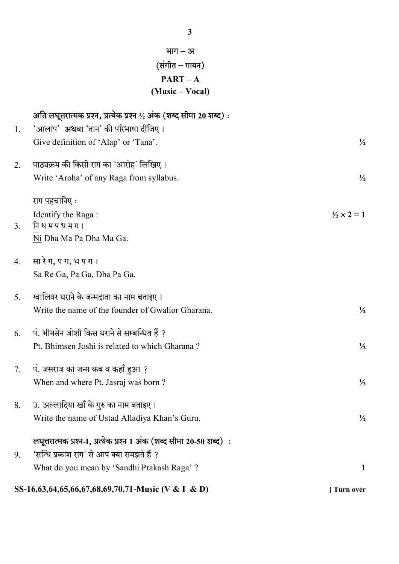|    | भाग $-31$<br>(संगीत – गायन)                                          |                            |  |  |
|----|----------------------------------------------------------------------|----------------------------|--|--|
|    | $PART - A$                                                           |                            |  |  |
|    | (Music – Vocal)                                                      |                            |  |  |
|    | अति लघूत्तरात्मक प्रश्न, प्रत्येक प्रश्न ½ अंक (शब्द सीमा 20 शब्द) : |                            |  |  |
| 1. | 'आलाप' <b>अथवा</b> 'तान' की परिभाषा दीजिए।                           |                            |  |  |
|    | Give definition of 'Alap' or 'Tana'.                                 | $\frac{1}{2}$              |  |  |
| 2. | पाठ्यक्रम की किसी राग का 'आरोह' लिखिए।                               |                            |  |  |
|    | Write 'Aroha' of any Raga from syllabus.                             | $\frac{1}{2}$              |  |  |
|    | राग पहचानिए :                                                        |                            |  |  |
|    | Identify the Raga:                                                   | $\frac{1}{2} \times 2 = 1$ |  |  |
| 3. | नि ध म प ध म ग ।                                                     |                            |  |  |
|    | Ni Dha Ma Pa Dha Ma Ga.                                              |                            |  |  |
| 4. | सा रे ग, प ग, ध प ग ।                                                |                            |  |  |
|    | Sa Re Ga, Pa Ga, Dha Pa Ga.                                          |                            |  |  |
| 5. | ग्वालियर घराने के जन्मदाता का नाम बताइए ।                            |                            |  |  |
|    | Write the name of the founder of Gwalior Gharana.                    | $\frac{1}{2}$              |  |  |
| 6. | पं. भीमसेन जोशी किस घराने से सम्बन्धित हैं ?                         |                            |  |  |
|    | Pt. Bhimsen Joshi is related to which Gharana?                       | $\frac{1}{2}$              |  |  |
| 7. | पं. जसराज का जन्म कब व कहाँ हुआ ?                                    |                            |  |  |
|    | When and where Pt. Jasraj was born?                                  | $\frac{1}{2}$              |  |  |
| 8. | उ. अल्लादिया खाँ के गुरु का नाम बताइए।                               |                            |  |  |
|    | Write the name of Ustad Alladiya Khan's Guru.                        | $\frac{1}{2}$              |  |  |
|    | लघूत्तरात्मक प्रश्न-1, प्रत्येक प्रश्न 1 अंक (शब्द सीमा 20-50 शब्द)ः |                            |  |  |
| 9. | 'सन्धि प्रकाश राग' से आप क्या समझते हैं ?                            |                            |  |  |
|    | What do you mean by 'Sandhi Prakash Raga' ?                          | $\mathbf{1}$               |  |  |
|    | SS-16,63,64,65,66,67,68,69,70,71-Music (V & I & D)                   | [ Turn over                |  |  |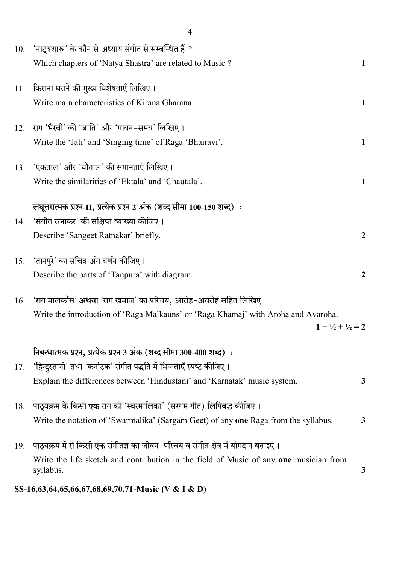| 'नाट्यशास्त्र' के कौन से अध्याय संगीत से सम्बन्धित हैं ?<br>Which chapters of 'Natya Shastra' are related to Music?                                                                                                       | 1                                                  |
|---------------------------------------------------------------------------------------------------------------------------------------------------------------------------------------------------------------------------|----------------------------------------------------|
| किराना घराने की मुख्य विशेषताएँ लिखिए।<br>Write main characteristics of Kirana Gharana.                                                                                                                                   | 1                                                  |
| राग 'भैरवी' की 'जाति' और 'गायन-समय' लिखिए।<br>Write the 'Jati' and 'Singing time' of Raga 'Bhairavi'.                                                                                                                     | 1                                                  |
| 'एकताल' और 'चौताल' की समानताएँ लिखिए।<br>13.<br>Write the similarities of 'Ektala' and 'Chautala'.                                                                                                                        | 1                                                  |
| लघूत्तरात्मक प्रश्न-II, प्रत्येक प्रश्न 2 अंक (शब्द सीमा 100-150 शब्द):<br>'संगीत रत्नाकर' की संक्षिप्त व्याख्या कीजिए।<br>Describe 'Sangeet Ratnakar' briefly.                                                           | $\boldsymbol{2}$                                   |
| 'तानपुरे' का सचित्र अंग वर्णन कीजिए ।<br>Describe the parts of 'Tanpura' with diagram.                                                                                                                                    | $\overline{2}$                                     |
| 'राग मालकौंस' <b>अथवा</b> 'राग खमाज' का परिचय, आरोह–अवरोह सहित लिखिए।<br>Write the introduction of 'Raga Malkauns' or 'Raga Khamaj' with Aroha and Avaroha.<br>$1 + \frac{1}{2} + \frac{1}{2} = 2$                        |                                                    |
| निबन्धात्मक प्रश्न, प्रत्येक प्रश्न 3 अंक (शब्द सीमा 300-400 शब्द):<br>'हिन्दुस्तानी' तथा 'कर्नाटक' संगीत पद्धति में भिन्नताएँ स्पष्ट कीजिए।<br>Explain the differences between 'Hindustani' and 'Karnatak' music system. | 3                                                  |
| पाठ्यक्रम के किसी <b>एक</b> राग की 'स्वरमालिका' (सरगम गीत) लिपिबद्ध कीजिए।<br>Write the notation of 'Swarmalika' (Sargam Geet) of any one Raga from the syllabus.                                                         | $\mathbf{3}$                                       |
| पाठ्यक्रम में से किसी <b>एक</b> संगीतज्ञ का जीवन–परिचय व संगीत क्षेत्र में योगदान बताइए ।<br>Write the life sketch and contribution in the field of Music of any one musician from<br>syllabus.                           | 3                                                  |
|                                                                                                                                                                                                                           | SS-16,63,64,65,66,67,68,69,70,71-Music (V & I & D) |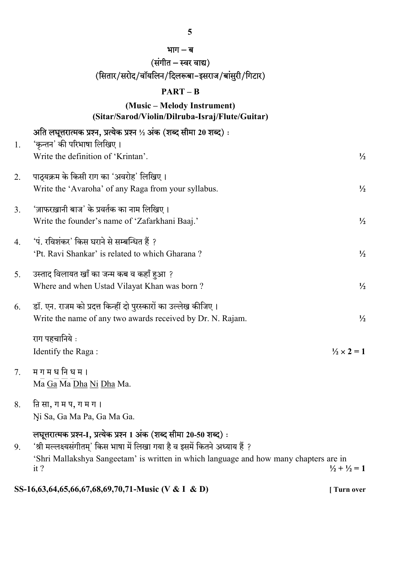|    | भाग – ब                                                                                       |                            |
|----|-----------------------------------------------------------------------------------------------|----------------------------|
|    | (संगीत – स्वर वाद्य)                                                                          |                            |
|    | (सितार/सरोद/वॉयलिन/दिलरूबा-इसराज/बांसुरी/गिटार)                                               |                            |
|    | $PART - B$                                                                                    |                            |
|    | (Music – Melody Instrument)                                                                   |                            |
|    | (Sitar/Sarod/Violin/Dilruba-Israj/Flute/Guitar)                                               |                            |
|    | अति लघूत्तरात्मक प्रश्न, प्रत्येक प्रश्न ½ अंक (शब्द सीमा 20 शब्द):                           |                            |
| 1. | 'कृन्तन' की परिभाषा लिखिए।<br>Write the definition of 'Krintan'.                              | $\frac{1}{2}$              |
|    |                                                                                               |                            |
| 2. | पाठ्यक्रम के किसी राग का 'अवरोह' लिखिए।                                                       |                            |
|    | Write the 'Avaroha' of any Raga from your syllabus.                                           | $\frac{1}{2}$              |
| 3. | 'ज़ाफरख़ानी बाज' के प्रवर्तक का नाम लिखिए।                                                    |                            |
|    | Write the founder's name of 'Zafarkhani Baaj.'                                                | $\frac{1}{2}$              |
|    |                                                                                               |                            |
| 4. | 'पं. रविशंकर' किस घराने से सम्बन्धित हैं ?<br>'Pt. Ravi Shankar' is related to which Gharana? | $\frac{1}{2}$              |
|    |                                                                                               |                            |
| 5. | उस्ताद विलायत खाँ का जन्म कब व कहाँ हुआ ?                                                     |                            |
|    | Where and when Ustad Vilayat Khan was born?                                                   | $\frac{1}{2}$              |
| 6. | डॉ. एन. राजम को प्रदत्त किन्हीं दो पुरस्कारों का उल्लेख कीजिए।                                |                            |
|    | Write the name of any two awards received by Dr. N. Rajam.                                    | $\frac{1}{2}$              |
|    | राग पहचानिये :                                                                                |                            |
|    | Identify the Raga:                                                                            | $\frac{1}{2} \times 2 = 1$ |
|    |                                                                                               |                            |
| 7. | म ग म ध नि ध म ।                                                                              |                            |
|    | Ma Ga Ma Dha Ni Dha Ma.                                                                       |                            |
| 8. | नि सा, ग म प, ग म ग ।                                                                         |                            |

Ni. Sa, Ga Ma Pa, Ga Ma Ga.

# लघूत्तरात्मक प्रश्न-1, प्रत्येक प्रश्न 1 अंक (शब्द सीमा 20-50 शब्द):

9. 'श्री मल्लक्ष्यसंगीतम्' किस भाषा में लिखा गया है व इसमें कितने अध्याय हैं ? 'Shri Mallakshya Sangeetam' is written in which language and how many chapters are in it?  $\frac{1}{2} + \frac{1}{2} = 1$ 

SS-16,63,64,65,66,67,68,69,70,71-Music (V & I & D) [ Turn over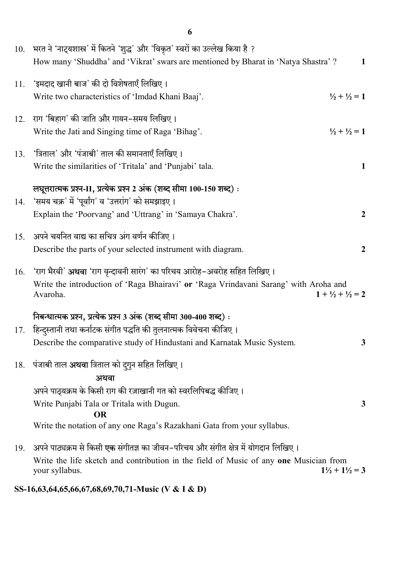|     | 10. भरत ने 'नाट्यशास्त्र' में कितने 'शुद्ध' और 'विकृत' स्वरों का उल्लेख किया है ?                |                                     |
|-----|--------------------------------------------------------------------------------------------------|-------------------------------------|
|     | How many 'Shuddha' and 'Vikrat' swars are mentioned by Bharat in 'Natya Shastra' ?               | 1                                   |
| 11. | 'इमदाद खानी बाज' की दो विशेषताएँ लिखिए।                                                          |                                     |
|     | Write two characteristics of 'Imdad Khani Baaj'.                                                 | $\frac{1}{2} + \frac{1}{2} = 1$     |
| 12. | राग 'बिहाग' की जाति और गायन–समय लिखिए।                                                           |                                     |
|     | Write the Jati and Singing time of Raga 'Bihag'.                                                 | $\frac{1}{2} + \frac{1}{2} = 1$     |
| 13. | 'त्रिताल' और 'पंजाबी' ताल की समानताएँ लिखिए।                                                     |                                     |
|     | Write the similarities of 'Tritala' and 'Punjabi' tala.                                          | $\mathbf{1}$                        |
|     | लघूत्तरात्मक प्रश्न-II, प्रत्येक प्रश्न 2 अंक (शब्द सीमा 100-150 शब्द):                          |                                     |
| 14. | 'समय चक्र' में 'पूर्वांग' व 'उत्तरांग' को समझाइए ।                                               |                                     |
|     | Explain the 'Poorvang' and 'Uttrang' in 'Samaya Chakra'.                                         | $\overline{2}$                      |
| 15. | अपने चयनित वाद्य का सचित्र अंग वर्णन कीजिए।                                                      |                                     |
|     | Describe the parts of your selected instrument with diagram.                                     | $\boldsymbol{2}$                    |
| 16. | 'राग भैरवी' <b>अथवा</b> 'राग वृन्दावनी सारंग' का परिचय आरोह–अवरोह सहित लिखिए।                    |                                     |
|     | Write the introduction of 'Raga Bhairavi' or 'Raga Vrindavani Sarang' with Aroha and<br>Avaroha. | $1 + \frac{1}{2} + \frac{1}{2} = 2$ |
|     | निबन्धात्मक प्रश्न, प्रत्येक प्रश्न 3 अंक (शब्द सीमा 300-400 शब्द):                              |                                     |
| 17. | हिन्दुस्तानी तथा कर्नाटक संगीत पद्धति की तुलनात्मक विवेचना कीजिए।                                |                                     |
|     | Describe the comparative study of Hindustani and Karnatak Music System.                          | 3                                   |
| 18. | पंजाबी ताल <b>अथवा</b> त्रिताल को दुगुन सहित लिखिए।                                              |                                     |
|     | अथवा                                                                                             |                                     |
|     | अपने पाठ्यक्रम के किसी राग की रज़ाखानी गत को स्वरलिपिबद्ध कीजिए।                                 |                                     |
|     | Write Punjabi Tala or Tritala with Dugun.<br><b>OR</b>                                           | $\mathbf{3}$                        |
|     | Write the notation of any one Raga's Razakhani Gata from your syllabus.                          |                                     |
| 19. | अपने पाठ्यक्रम से किसी <b>एक</b> संगीतज्ञ का जीवन–परिचय और संगीत क्षेत्र में योगदान लिखिए।       |                                     |
|     | Write the life sketch and contribution in the field of Music of any one Musician from            |                                     |
|     | your syllabus.                                                                                   | $1\frac{1}{2} + 1\frac{1}{2} = 3$   |

SS-16,63,64,65,66,67,68,69,70,71-Music (V & I & D)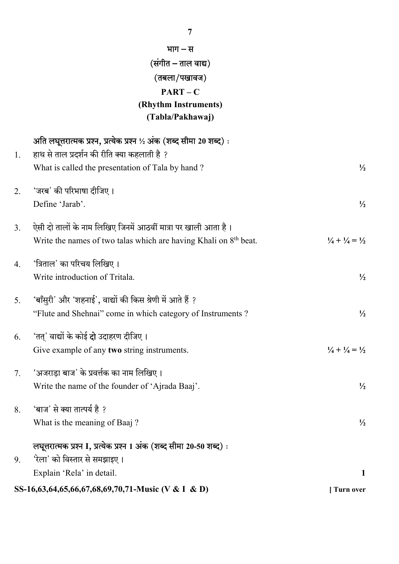|    | (संगीत – ताल वाद्य)                                                  |                                           |  |  |
|----|----------------------------------------------------------------------|-------------------------------------------|--|--|
|    | (तबला/पखावज)                                                         |                                           |  |  |
|    | $PART - C$                                                           |                                           |  |  |
|    | (Rhythm Instruments)                                                 |                                           |  |  |
|    | (Tabla/Pakhawaj)                                                     |                                           |  |  |
|    | अति लघूत्तरात्मक प्रश्न, प्रत्येक प्रश्न ½ अंक (शब्द सीमा 20 शब्द):  |                                           |  |  |
| 1. | हाथ से ताल प्रदर्शन की रीति क्या कहलाती है ?                         |                                           |  |  |
|    | What is called the presentation of Tala by hand?                     | $\frac{1}{2}$                             |  |  |
| 2. | 'जरब' की परिभाषा दीजिए।                                              |                                           |  |  |
|    | Define 'Jarab'.                                                      | $\frac{1}{2}$                             |  |  |
| 3. | ऐसी दो तालों के नाम लिखिए जिनमें आठवीं मात्रा पर खाली आता है।        |                                           |  |  |
|    | Write the names of two talas which are having Khali on $8th$ beat.   | $\frac{1}{4} + \frac{1}{4} = \frac{1}{2}$ |  |  |
| 4. | 'त्रिताल' का परिचय लिखिए।                                            |                                           |  |  |
|    | Write introduction of Tritala.                                       | $\frac{1}{2}$                             |  |  |
| 5. | 'बाँसुरी' और 'शहनाई', वाद्यों की किस श्रेणी में आते हैं ?            |                                           |  |  |
|    | "Flute and Shehnai" come in which category of Instruments?           | $\frac{1}{2}$                             |  |  |
| 6. | 'तत्' वाद्यों के कोई <b>दो</b> उदाहरण दीजिए।                         |                                           |  |  |
|    | Give example of any two string instruments.                          | $\frac{1}{4} + \frac{1}{4} = \frac{1}{2}$ |  |  |
| 7. | 'अजराड़ा बाज' के प्रवर्त्तक का नाम लिखिए।                            |                                           |  |  |
|    | Write the name of the founder of 'Ajrada Baaj'.                      | $\frac{1}{2}$                             |  |  |
| 8. | 'बाज' से क्या तात्पर्य है ?                                          |                                           |  |  |
|    | What is the meaning of Baaj?                                         | $\frac{1}{2}$                             |  |  |
|    | लघूत्तरात्मक प्रश्न I, प्रत्येक प्रश्न 1 अंक (शब्द सीमा 20-50 शब्द): |                                           |  |  |
| 9. | 'रेला' को विस्तार से समझाइए।                                         |                                           |  |  |
|    | Explain 'Rela' in detail.                                            | 1                                         |  |  |
|    | SS-16,63,64,65,66,67,68,69,70,71-Music (V & I & D)                   | Turn over                                 |  |  |

भाग $-$ स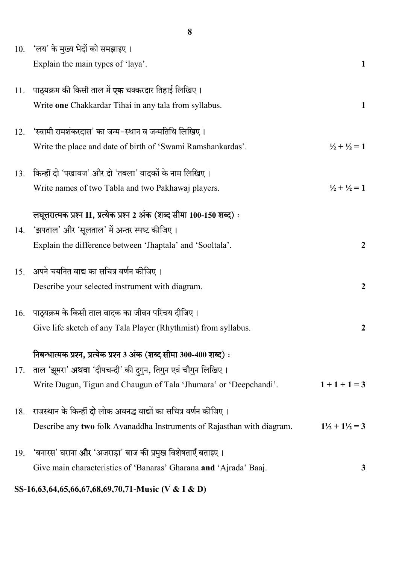|     | 10. 'लय' के मुख्य भेदों को समझाइए।<br>Explain the main types of 'laya'.                                            | 1                                 |
|-----|--------------------------------------------------------------------------------------------------------------------|-----------------------------------|
| 11. | पाठ्यक्रम की किसी ताल में <b>एक</b> चक्करदार तिहाई लिखिए।<br>Write one Chakkardar Tihai in any tala from syllabus. | $\mathbf{1}$                      |
| 12. | 'स्वामी रामशंकरदास' का जन्म–स्थान व जन्मतिथि लिखिए।                                                                |                                   |
|     | Write the place and date of birth of 'Swami Ramshankardas'.                                                        | $\frac{1}{2} + \frac{1}{2} = 1$   |
| 13. | किन्हीं दो 'पखावज' और दो 'तबला' वादकों के नाम लिखिए।                                                               |                                   |
|     | Write names of two Tabla and two Pakhawaj players.                                                                 | $\frac{1}{2} + \frac{1}{2} = 1$   |
|     | लघूत्तरात्मक प्रश्न II, प्रत्येक प्रश्न 2 अंक (शब्द सीमा 100-150 शब्द):                                            |                                   |
| 14. | 'झपताल' और 'सूलताल' में अन्तर स्पष्ट कीजिए।                                                                        |                                   |
|     | Explain the difference between 'Jhaptala' and 'Sooltala'.                                                          | $\boldsymbol{2}$                  |
| 15. | अपने चयनित वाद्य का सचित्र वर्णन कीजिए।                                                                            |                                   |
|     | Describe your selected instrument with diagram.                                                                    | $\boldsymbol{2}$                  |
| 16. | पाठ्यक्रम के किसी ताल वादक का जीवन परिचय दीजिए।                                                                    |                                   |
|     | Give life sketch of any Tala Player (Rhythmist) from syllabus.                                                     | $\boldsymbol{2}$                  |
|     | निबन्धात्मक प्रश्न, प्रत्येक प्रश्न 3 अंक (शब्द सीमा 300-400 शब्द):                                                |                                   |
| 17. | ताल 'झूमरा' <b>अथवा</b> 'दीपचन्दी' की दूगुन, तिगुन एवं चौगुन लिखिए।                                                |                                   |
|     | Write Dugun, Tigun and Chaugun of Tala 'Jhumara' or 'Deepchandi'.                                                  | $1+1+1=3$                         |
| 18. | राजस्थान के किन्हीं <b>दो</b> लोक अवनद्ध वाद्यों का सचित्र वर्णन कीजिए।                                            |                                   |
|     | Describe any two folk Avanaddha Instruments of Rajasthan with diagram.                                             | $1\frac{1}{2} + 1\frac{1}{2} = 3$ |
| 19. | 'बनारस' घराना <b>और</b> 'अजराड़ा' बाज की प्रमुख विशेषताएँ बताइए ।                                                  |                                   |
|     | Give main characteristics of 'Banaras' Gharana and 'Ajrada' Baaj.                                                  | 3                                 |

SS-16,63,64,65,66,67,68,69,70,71-Music (V & I & D)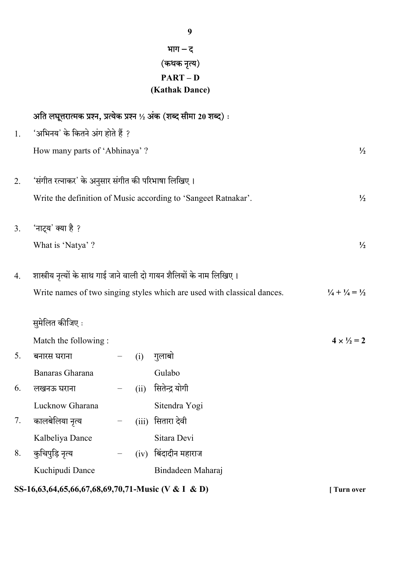| भाग – द        |  |
|----------------|--|
| (कथक नृत्य)    |  |
| PART – D       |  |
| (Kathak Dance) |  |

|    |                                                                         |                   |       | अति लघूत्तरात्मक प्रश्न, प्रत्येक प्रश्न ½ अंक (शब्द सीमा 20 शब्द): |                                           |
|----|-------------------------------------------------------------------------|-------------------|-------|---------------------------------------------------------------------|-------------------------------------------|
| 1. | 'अभिनय' के कितने अंग होते हैं ?                                         |                   |       |                                                                     |                                           |
|    | How many parts of 'Abhinaya' ?                                          |                   |       |                                                                     | $\frac{1}{2}$                             |
| 2. | 'संगीत रत्नाकर' के अनुसार संगीत की परिभाषा लिखिए।                       |                   |       |                                                                     |                                           |
|    |                                                                         |                   |       | Write the definition of Music according to 'Sangeet Ratnakar'.      | $\frac{1}{2}$                             |
| 3. | 'नाट्य' क्या है ?                                                       |                   |       |                                                                     |                                           |
|    | What is 'Natya' ?                                                       |                   |       |                                                                     | $\frac{1}{2}$                             |
| 4. | शास्त्रीय नृत्यों के साथ गाई जाने वाली दो गायन शैलियों के नाम लिखिए।    |                   |       |                                                                     |                                           |
|    | Write names of two singing styles which are used with classical dances. |                   |       |                                                                     | $\frac{1}{4} + \frac{1}{4} = \frac{1}{2}$ |
|    | सुमेलित कीजिए :                                                         |                   |       |                                                                     |                                           |
|    | Match the following:                                                    |                   |       |                                                                     | $4 \times \frac{1}{2} = 2$                |
| 5. | बनारस घराना                                                             |                   | (i)   | गुलाबो                                                              |                                           |
|    | Banaras Gharana                                                         |                   |       | Gulabo                                                              |                                           |
| 6. | लखनऊ घराना                                                              | $\qquad \qquad -$ | (ii)  | सितेन्द्र योगी                                                      |                                           |
|    | Lucknow Gharana                                                         |                   |       | Sitendra Yogi                                                       |                                           |
| 7. | कालबेलिया नृत्य                                                         |                   | (iii) | सितारा देवी                                                         |                                           |
|    | Kalbeliya Dance                                                         |                   |       | Sitara Devi                                                         |                                           |
| 8. | कुचिपुड़ि नृत्य                                                         |                   | (iv)  | बिंदादीन महाराज                                                     |                                           |
|    | Kuchipudi Dance                                                         |                   |       | Bindadeen Maharaj                                                   |                                           |
|    | SS-16,63,64,65,66,67,68,69,70,71-Music (V & I & D)                      |                   |       |                                                                     | <b>Turn over</b>                          |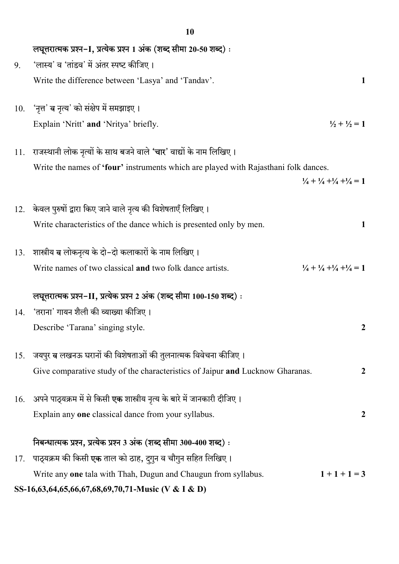|     | 1 V                                                                                 |                                                             |
|-----|-------------------------------------------------------------------------------------|-------------------------------------------------------------|
|     | लघूत्तरात्मक प्रश्न-I, प्रत्येक प्रश्न 1 अंक (शब्द सीमा 20-50 शब्द):                |                                                             |
| 9.  | 'लास्य' व 'तांडव' में अंतर स्पष्ट कीजिए।                                            |                                                             |
|     | Write the difference between 'Lasya' and 'Tandav'.                                  | 1                                                           |
|     |                                                                                     |                                                             |
|     | 10. 'नृत्त' व नृत्य' को संक्षेप में समझाइए।                                         |                                                             |
|     | Explain 'Nritt' and 'Nritya' briefly.                                               | $\frac{1}{2} + \frac{1}{2} = 1$                             |
| 11. | राजस्थानी लोक नृत्यों के साथ बजने वाले <b>'चार'</b> वाद्यों के नाम लिखिए।           |                                                             |
|     | Write the names of 'four' instruments which are played with Rajasthani folk dances. |                                                             |
|     |                                                                                     | $\frac{1}{4} + \frac{1}{4} + \frac{1}{4} + \frac{1}{4} = 1$ |
| 12. | केवल पुरुषों द्वारा किए जाने वाले नृत्य की विशेषताएँ लिखिए।                         |                                                             |
|     | Write characteristics of the dance which is presented only by men.                  | 1                                                           |
|     |                                                                                     |                                                             |
| 13. | शास्त्रीय व लोकनृत्य के दो-दो कलाकारों के नाम लिखिए।                                |                                                             |
|     | Write names of two classical and two folk dance artists.                            | $\frac{1}{4} + \frac{1}{4} + \frac{1}{4} + \frac{1}{4} = 1$ |
|     | लघूत्तरात्मक प्रश्न-II, प्रत्येक प्रश्न 2 अंक (शब्द सीमा 100-150 शब्द) :            |                                                             |
|     | 14. 'तराना' गायन शैली की व्याख्या कीजिए ।                                           |                                                             |
|     | Describe 'Tarana' singing style.                                                    | 2                                                           |
|     |                                                                                     |                                                             |
| 15. | जयपुर <b>व</b> लखनऊ घरानों की विशेषताओं की तुलनात्मक विवेचना कीजिए।                 |                                                             |
|     | Give comparative study of the characteristics of Jaipur and Lucknow Gharanas.       | $\boldsymbol{2}$                                            |
| 16. | अपने पाठ्यक्रम में से किसी <b>एक</b> शास्त्रीय नृत्य के बारे में जानकारी दीजिए।     |                                                             |
|     | Explain any one classical dance from your syllabus.                                 | $\overline{2}$                                              |
|     | निबन्धात्मक प्रश्न, प्रत्येक प्रश्न 3 अंक (शब्द सीमा 300-400 शब्द):                 |                                                             |
| 17. | पाठ्यक्रम की किसी <b>एक</b> ताल को ठाह, दुगुन व चौगुन सहित लिखिए।                   |                                                             |
|     | Write any one tala with Thah, Dugun and Chaugun from syllabus.                      | $1+1+1=3$                                                   |
|     | SS-16,63,64,65,66,67,68,69,70,71-Music (V & I & D)                                  |                                                             |
|     |                                                                                     |                                                             |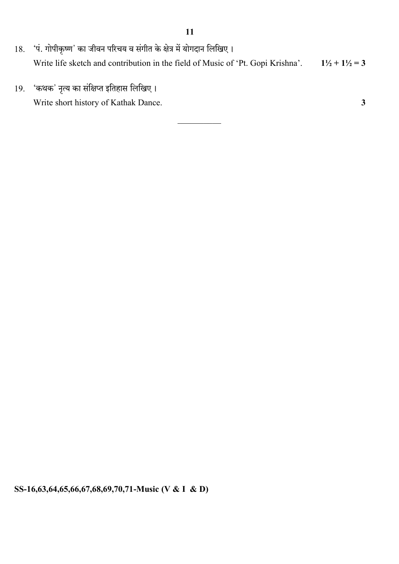- 18. 'पं. गोपीकृष्ण' का जीवन परिचय व संगीत के क्षेत्र में योगदान लिखिए। Write life sketch and contribution in the field of Music of 'Pt. Gopi Krishna'.  $1\frac{1}{2} + 1\frac{1}{2} = 3$
- 19. 'कथक' नृत्य का संक्षिप्त इतिहास लिखिए। Write short history of Kathak Dance. 3